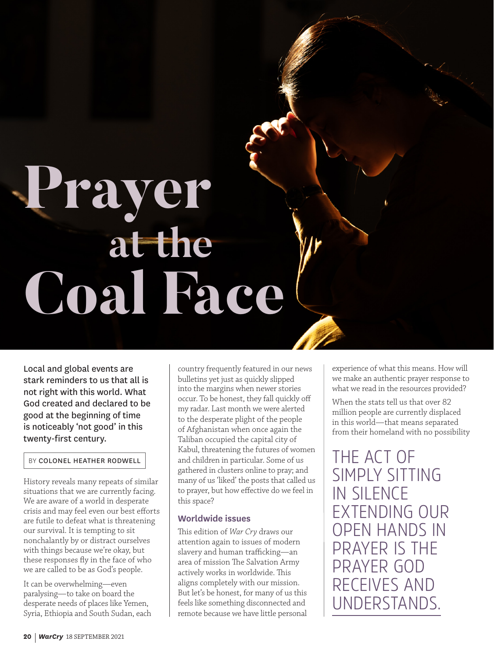# **Coal Face Prayer at the**

Local and global events are stark reminders to us that all is not right with this world. What God created and declared to be good at the beginning of time is noticeably 'not good' in this twenty-first century.

#### BY COLONEL HEATHER RODWELL

History reveals many repeats of similar situations that we are currently facing. We are aware of a world in desperate crisis and may feel even our best efforts are futile to defeat what is threatening our survival. It is tempting to sit nonchalantly by or distract ourselves with things because we're okay, but these responses fly in the face of who we are called to be as God's people.

It can be overwhelming—even paralysing—to take on board the desperate needs of places like Yemen, Syria, Ethiopia and South Sudan, each country frequently featured in our news bulletins yet just as quickly slipped into the margins when newer stories occur. To be honest, they fall quickly off my radar. Last month we were alerted to the desperate plight of the people of Afghanistan when once again the Taliban occupied the capital city of Kabul, threatening the futures of women and children in particular. Some of us gathered in clusters online to pray; and many of us 'liked' the posts that called us to prayer, but how effective do we feel in this space?

#### **Worldwide issues**

This edition of *War Cry* draws our attention again to issues of modern slavery and human trafficking—an area of mission The Salvation Army actively works in worldwide. This aligns completely with our mission. But let's be honest, for many of us this feels like something disconnected and remote because we have little personal

experience of what this means. How will we make an authentic prayer response to what we read in the resources provided?

When the stats tell us that over 82 million people are currently displaced in this world—that means separated from their homeland with no possibility

THE ACT OF SIMPLY SITTING IN SILENCE EXTENDING OUR OPEN HANDS IN PRAYER IS THE PRAYER GOD RECEIVES AND UNDERSTANDS.